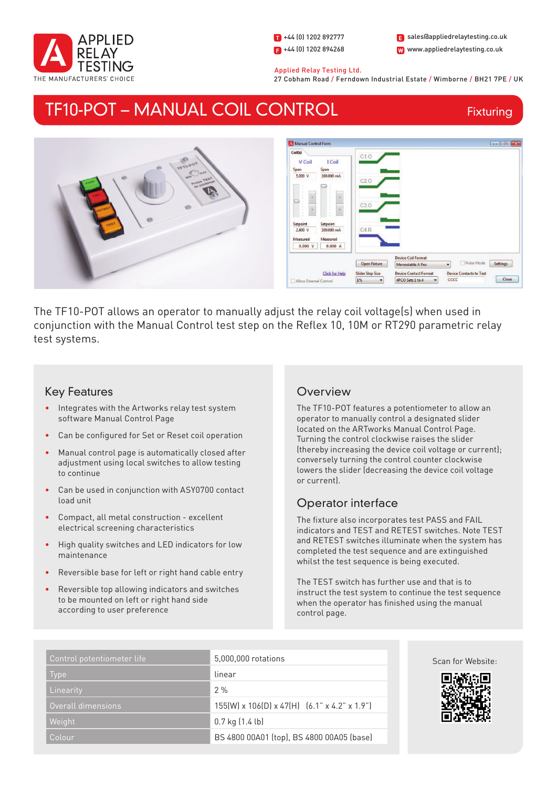

1 +44 (0) 1202 892777  $\blacksquare$  +44 (0) 1202 894268

W www.appliedrelaytesting.co.uk sales@appliedrelaytesting.co.uk

 Applied Relay Testing Ltd. 27 Cobham Road / Ferndown Industrial Estate / Wimborne / BH21 7PE / UK

## TF10-POT – MANUAL COIL CONTROL

Fixturing



The TF10-POT allows an operator to manually adjust the relay coil voltage(s) when used in conjunction with the Manual Control test step on the Reflex 10, 10M or RT290 parametric relay test systems.

### Key Features

- Integrates with the Artworks relay test system software Manual Control Page
- Can be configured for Set or Reset coil operation
- Manual control page is automatically closed after adjustment using local switches to allow testing to continue
- Can be used in conjunction with ASY0700 contact load unit
- Compact, all metal construction excellent electrical screening characteristics
- High quality switches and LED indicators for low maintenance
- Reversible base for left or right hand cable entry
- Reversible top allowing indicators and switches to be mounted on left or right hand side according to user preference

## **Overview**

The TF10-POT features a potentiometer to allow an operator to manually control a designated slider located on the ARTworks Manual Control Page. Turning the control clockwise raises the slider (thereby increasing the device coil voltage or current); conversely turning the control counter clockwise lowers the slider (decreasing the device coil voltage or current).

## Operator interface

The fixture also incorporates test PASS and FAIL indicators and TEST and RETEST switches. Note TEST and RETEST switches illuminate when the system has completed the test sequence and are extinguished whilst the test sequence is being executed.

The TEST switch has further use and that is to instruct the test system to continue the test sequence when the operator has finished using the manual control page.

| Control potentiometer life | 5,000,000 rotations                                                  |
|----------------------------|----------------------------------------------------------------------|
| <b>Type</b>                | linear                                                               |
| Linearity                  | 2%                                                                   |
| Overall dimensions         | $155(W) \times 106(D) \times 47(H)$ $(6.1" \times 4.2" \times 1.9")$ |
| Weight                     | $0.7$ kg $(1.4$ lb)                                                  |
| 'Colouri                   | BS 4800 00A01 (top), BS 4800 00A05 (base)                            |



Scan for Website: